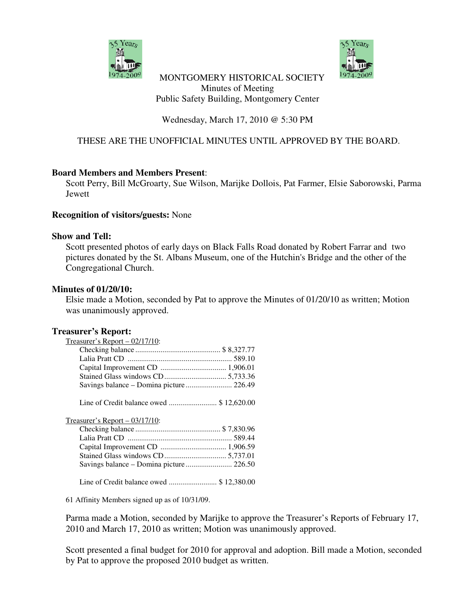



### MONTGOMERY HISTORICAL SOCIETY Minutes of Meeting Public Safety Building, Montgomery Center

## Wednesday, March 17, 2010 @ 5:30 PM

# THESE ARE THE UNOFFICIAL MINUTES UNTIL APPROVED BY THE BOARD.

### **Board Members and Members Present**:

Scott Perry, Bill McGroarty, Sue Wilson, Marijke Dollois, Pat Farmer, Elsie Saborowski, Parma Jewett

### **Recognition of visitors/guests:** None

#### **Show and Tell:**

Scott presented photos of early days on Black Falls Road donated by Robert Farrar and two pictures donated by the St. Albans Museum, one of the Hutchin's Bridge and the other of the Congregational Church.

### **Minutes of 01/20/10:**

Elsie made a Motion, seconded by Pat to approve the Minutes of 01/20/10 as written; Motion was unanimously approved.

#### **Treasurer's Report:**

| Treasurer's Report $-$ 02/17/10: |  |
|----------------------------------|--|
|                                  |  |
|                                  |  |
|                                  |  |
|                                  |  |
|                                  |  |
|                                  |  |

Line of Credit balance owed ......................... \$ 12,620.00

Treasurer's Report – 03/17/10:

Line of Credit balance owed ......................... \$ 12,380.00

61 Affinity Members signed up as of 10/31/09.

Parma made a Motion, seconded by Marijke to approve the Treasurer's Reports of February 17, 2010 and March 17, 2010 as written; Motion was unanimously approved.

Scott presented a final budget for 2010 for approval and adoption. Bill made a Motion, seconded by Pat to approve the proposed 2010 budget as written.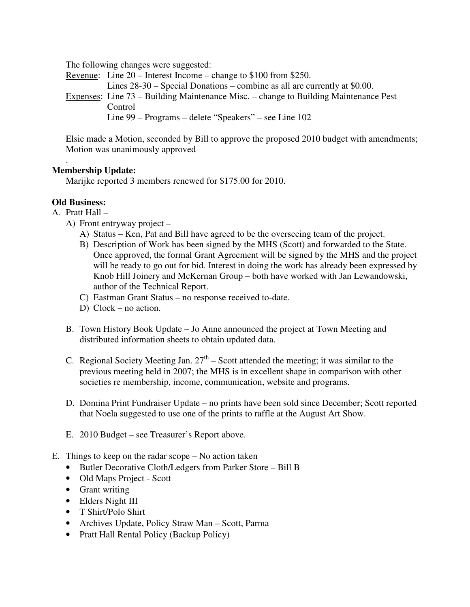The following changes were suggested:

Revenue: Line 20 – Interest Income – change to \$100 from \$250. Lines 28-30 – Special Donations – combine as all are currently at \$0.00. Expenses: Line 73 – Building Maintenance Misc. – change to Building Maintenance Pest Control Line 99 – Programs – delete "Speakers" – see Line 102

Elsie made a Motion, seconded by Bill to approve the proposed 2010 budget with amendments; Motion was unanimously approved

### . **Membership Update:**

Marijke reported 3 members renewed for \$175.00 for 2010.

# **Old Business:**

A. Pratt Hall –

- A) Front entryway project
	- A) Status Ken, Pat and Bill have agreed to be the overseeing team of the project.
	- B) Description of Work has been signed by the MHS (Scott) and forwarded to the State. Once approved, the formal Grant Agreement will be signed by the MHS and the project will be ready to go out for bid. Interest in doing the work has already been expressed by Knob Hill Joinery and McKernan Group – both have worked with Jan Lewandowski, author of the Technical Report.
	- C) Eastman Grant Status no response received to-date.
	- D) Clock no action.
- B. Town History Book Update Jo Anne announced the project at Town Meeting and distributed information sheets to obtain updated data.
- C. Regional Society Meeting Jan.  $27<sup>th</sup>$  Scott attended the meeting; it was similar to the previous meeting held in 2007; the MHS is in excellent shape in comparison with other societies re membership, income, communication, website and programs.
- D. Domina Print Fundraiser Update no prints have been sold since December; Scott reported that Noela suggested to use one of the prints to raffle at the August Art Show.
- E. 2010 Budget see Treasurer's Report above.
- E. Things to keep on the radar scope No action taken
	- Butler Decorative Cloth/Ledgers from Parker Store Bill B
	- Old Maps Project Scott
	- Grant writing
	- Elders Night III
	- T Shirt/Polo Shirt
	- Archives Update, Policy Straw Man Scott, Parma
	- Pratt Hall Rental Policy (Backup Policy)